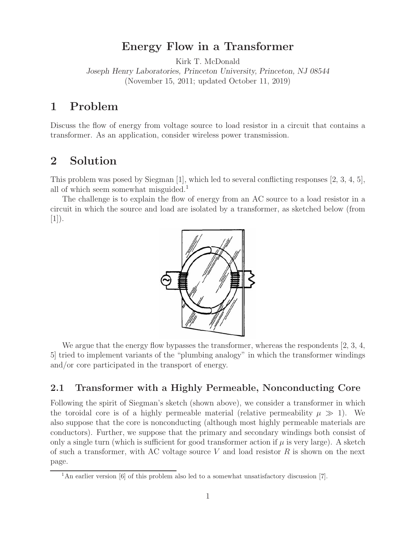# **Energy Flow in a Transformer**

Kirk T. McDonald

*Joseph Henry Laboratories, Princeton University, Princeton, NJ 08544* (November 15, 2011; updated October 11, 2019)

# **1 Problem**

Discuss the flow of energy from voltage source to load resistor in a circuit that contains a transformer. As an application, consider wireless power transmission.

## **2 Solution**

This problem was posed by Siegman [1], which led to several conflicting responses [2, 3, 4, 5], all of which seem somewhat misguided.<sup>1</sup>

The challenge is to explain the flow of energy from an AC source to a load resistor in a circuit in which the source and load are isolated by a transformer, as sketched below (from  $|1|$ ).



We argue that the energy flow bypasses the transformer, whereas the respondents [2, 3, 4, 5] tried to implement variants of the "plumbing analogy" in which the transformer windings and/or core participated in the transport of energy.

## **2.1 Transformer with a Highly Permeable, Nonconducting Core**

Following the spirit of Siegman's sketch (shown above), we consider a transformer in which the toroidal core is of a highly permeable material (relative permeability  $\mu \gg 1$ ). We also suppose that the core is nonconducting (although most highly permeable materials are conductors). Further, we suppose that the primary and secondary windings both consist of only a single turn (which is sufficient for good transformer action if  $\mu$  is very large). A sketch of such a transformer, with AC voltage source  $V$  and load resistor  $R$  is shown on the next page.

<sup>&</sup>lt;sup>1</sup>An earlier version [6] of this problem also led to a somewhat unsatisfactory discussion [7].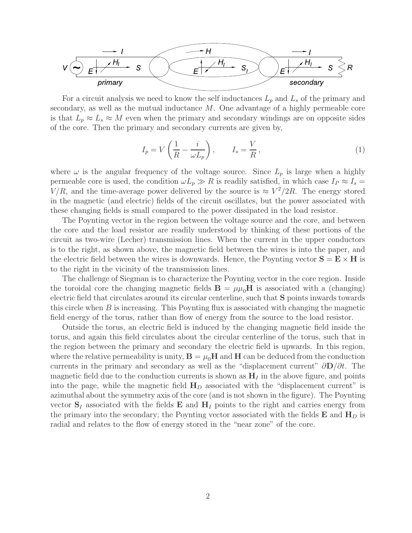

For a circuit analysis we need to know the self inductances  $L_p$  and  $L_s$  of the primary and secondary, as well as the mutual inductance M. One advantage of a highly permeable core is that  $L_p \approx L_s \approx M$  even when the primary and secondary windings are on opposite sides of the core. Then the primary and secondary currents are given by,

$$
I_p = V\left(\frac{1}{R} - \frac{i}{\omega L_p}\right), \qquad I_s = \frac{V}{R},\tag{1}
$$

where  $\omega$  is the angular frequency of the voltage source. Since  $L_p$  is large when a highly permeable core is used, the condition  $\omega L_p \gg R$  is readily satisfied, in which case  $I_P \approx I_s =$  $V/R$ , and the time-average power delivered by the source is  $\approx V^2/2R$ . The energy stored in the magnetic (and electric) fields of the circuit oscillates, but the power associated with these changing fields is small compared to the power dissipated in the load resistor.

The Poynting vector in the region between the voltage source and the core, and between the core and the load resistor are readily understood by thinking of these portions of the circuit as two-wire (Lecher) transmission lines. When the current in the upper conductors is to the right, as shown above, the magnetic field between the wires is into the paper, and the electric field between the wires is downwards. Hence, the Poynting vector  $S = E \times H$  is to the right in the vicinity of the transmission lines.

The challenge of Siegman is to characterize the Poynting vector in the core region. Inside the toroidal core the changing magnetic fields  $\mathbf{B} = \mu \mu_0 \mathbf{H}$  is associated with a (changing) electric field that circulates around its circular centerline, such that **S** points inwards towards this circle when  $B$  is increasing. This Poynting flux is associated with changing the magnetic field energy of the torus, rather than flow of energy from the source to the load resistor.

Outside the torus, an electric field is induced by the changing magnetic field inside the torus, and again this field circulates about the circular centerline of the torus, such that in the region between the primary and secondary the electric field is upwards. In this region, where the relative permeability is unity,  $\mathbf{B} = \mu_0 \mathbf{H}$  and  $\mathbf{H}$  can be deduced from the conduction currents in the primary and secondary as well as the "displacement current" ∂**D**/∂t. The magnetic field due to the conduction currents is shown as  $\mathbf{H}_I$  in the above figure, and points into the page, while the magnetic field **H***<sup>D</sup>* associated with the "displacement current" is azimuthal about the symmetry axis of the core (and is not shown in the figure). The Poynting vector  $S_I$  associated with the fields  $\mathbf{E}$  and  $\mathbf{H}_I$  points to the right and carries energy from the primary into the secondary; the Poynting vector associated with the fields  $\mathbf{E}$  and  $\mathbf{H}_D$  is radial and relates to the flow of energy stored in the "near zone" of the core.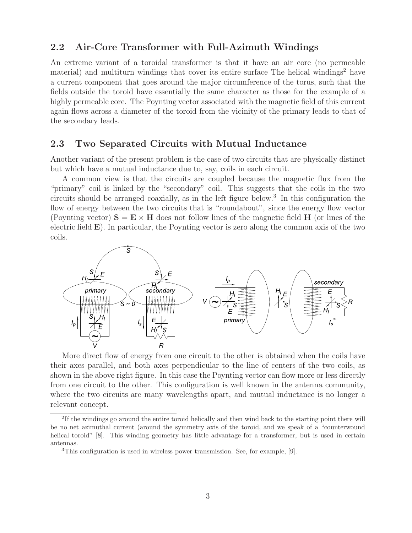### **2.2 Air-Core Transformer with Full-Azimuth Windings**

An extreme variant of a toroidal transformer is that it have an air core (no permeable material) and multiturn windings that cover its entire surface The helical windings<sup>2</sup> have a current component that goes around the major circumference of the torus, such that the fields outside the toroid have essentially the same character as those for the example of a highly permeable core. The Poynting vector associated with the magnetic field of this current again flows across a diameter of the toroid from the vicinity of the primary leads to that of the secondary leads.

#### **2.3 Two Separated Circuits with Mutual Inductance**

Another variant of the present problem is the case of two circuits that are physically distinct but which have a mutual inductance due to, say, coils in each circuit.

A common view is that the circuits are coupled because the magnetic flux from the "primary" coil is linked by the "secondary" coil. This suggests that the coils in the two circuits should be arranged coaxially, as in the left figure below.<sup>3</sup> In this configuration the flow of energy between the two circuits that is "roundabout", since the energy flow vector (Poynting vector)  $S = E \times H$  does not follow lines of the magnetic field H (or lines of the electric field **E**). In particular, the Poynting vector is zero along the common axis of the two coils.



More direct flow of energy from one circuit to the other is obtained when the coils have their axes parallel, and both axes perpendicular to the line of centers of the two coils, as shown in the above right figure. In this case the Poynting vector can flow more or less directly from one circuit to the other. This configuration is well known in the antenna community, where the two circuits are many wavelengths apart, and mutual inductance is no longer a relevant concept.

<sup>&</sup>lt;sup>2</sup>If the windings go around the entire toroid helically and then wind back to the starting point there will be no net azimuthal current (around the symmetry axis of the toroid, and we speak of a "counterwound helical toroid" [8]. This winding geometry has little advantage for a transformer, but is used in certain antennas.

<sup>3</sup>This configuration is used in wireless power transmission. See, for example, [9].